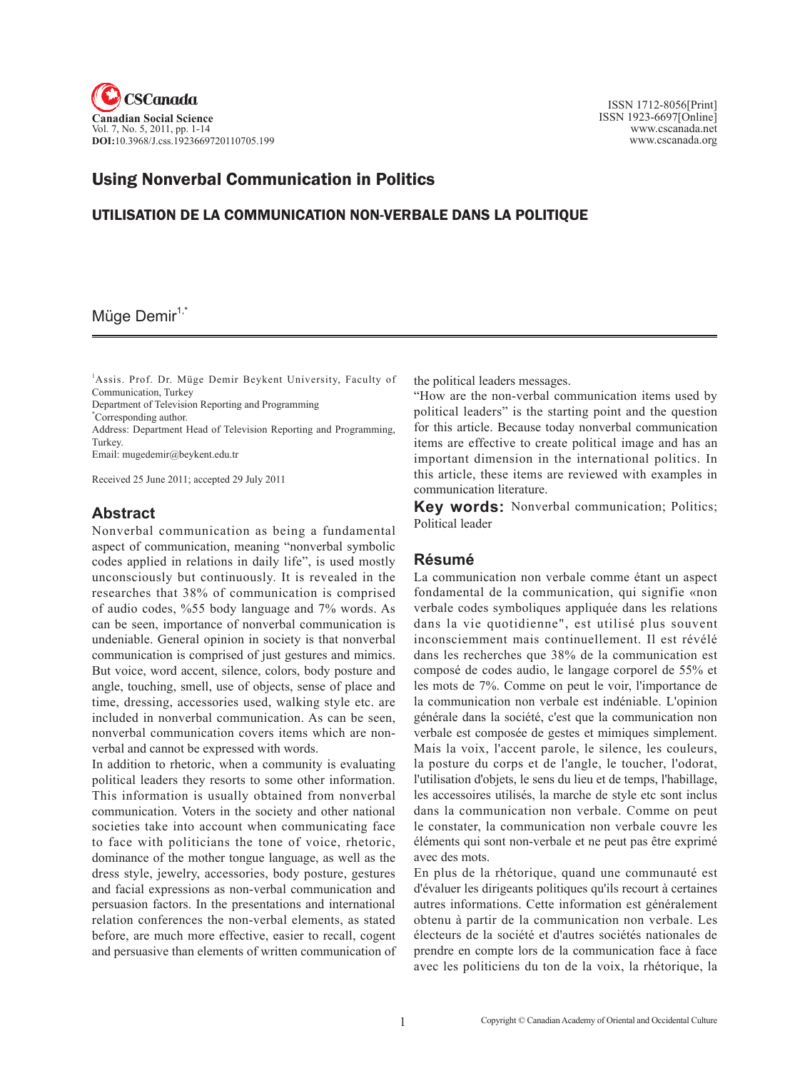

 ISSN 1712-8056[Print] ISSN 1923-6697[Online] www.cscanada.net www.cscanada.org

# Using Nonverbal Communication in Politics

#### UTILISATION DE LA COMMUNICATION NON-VERBALE DANS LA POLITIQUE

### Müge Demir<sup>1,\*</sup>

<sup>1</sup>Assis. Prof. Dr. Müge Demir Beykent University, Faculty of Communication, Turkey

Department of Television Reporting and Programming

\* Corresponding author.

Address: Department Head of Television Reporting and Programming, **Turkey** 

Email: mugedemir@beykent.edu.tr

Received 25 June 2011; accepted 29 July 2011

#### **Abstract**

Nonverbal communication as being a fundamental aspect of communication, meaning "nonverbal symbolic codes applied in relations in daily life", is used mostly unconsciously but continuously. It is revealed in the researches that 38% of communication is comprised of audio codes, %55 body language and 7% words. As can be seen, importance of nonverbal communication is undeniable. General opinion in society is that nonverbal communication is comprised of just gestures and mimics. But voice, word accent, silence, colors, body posture and angle, touching, smell, use of objects, sense of place and time, dressing, accessories used, walking style etc. are included in nonverbal communication. As can be seen, nonverbal communication covers items which are nonverbal and cannot be expressed with words.

In addition to rhetoric, when a community is evaluating political leaders they resorts to some other information. This information is usually obtained from nonverbal communication. Voters in the society and other national societies take into account when communicating face to face with politicians the tone of voice, rhetoric, dominance of the mother tongue language, as well as the dress style, jewelry, accessories, body posture, gestures and facial expressions as non-verbal communication and persuasion factors. In the presentations and international relation conferences the non-verbal elements, as stated before, are much more effective, easier to recall, cogent and persuasive than elements of written communication of the political leaders messages.

"How are the non-verbal communication items used by political leaders" is the starting point and the question for this article. Because today nonverbal communication items are effective to create political image and has an important dimension in the international politics. In this article, these items are reviewed with examples in communication literature.

**Key words:** Nonverbal communication; Politics; Political leader

#### **Résumé**

La communication non verbale comme étant un aspect fondamental de la communication, qui signifie «non verbale codes symboliques appliquée dans les relations dans la vie quotidienne", est utilisé plus souvent inconsciemment mais continuellement. Il est révélé dans les recherches que 38% de la communication est composé de codes audio, le langage corporel de 55% et les mots de 7%. Comme on peut le voir, l'importance de la communication non verbale est indéniable. L'opinion générale dans la société, c'est que la communication non verbale est composée de gestes et mimiques simplement. Mais la voix, l'accent parole, le silence, les couleurs, la posture du corps et de l'angle, le toucher, l'odorat, l'utilisation d'objets, le sens du lieu et de temps, l'habillage, les accessoires utilisés, la marche de style etc sont inclus dans la communication non verbale. Comme on peut le constater, la communication non verbale couvre les éléments qui sont non-verbale et ne peut pas être exprimé avec des mots.

En plus de la rhétorique, quand une communauté est d'évaluer les dirigeants politiques qu'ils recourt à certaines autres informations. Cette information est généralement obtenu à partir de la communication non verbale. Les électeurs de la société et d'autres sociétés nationales de prendre en compte lors de la communication face à face avec les politiciens du ton de la voix, la rhétorique, la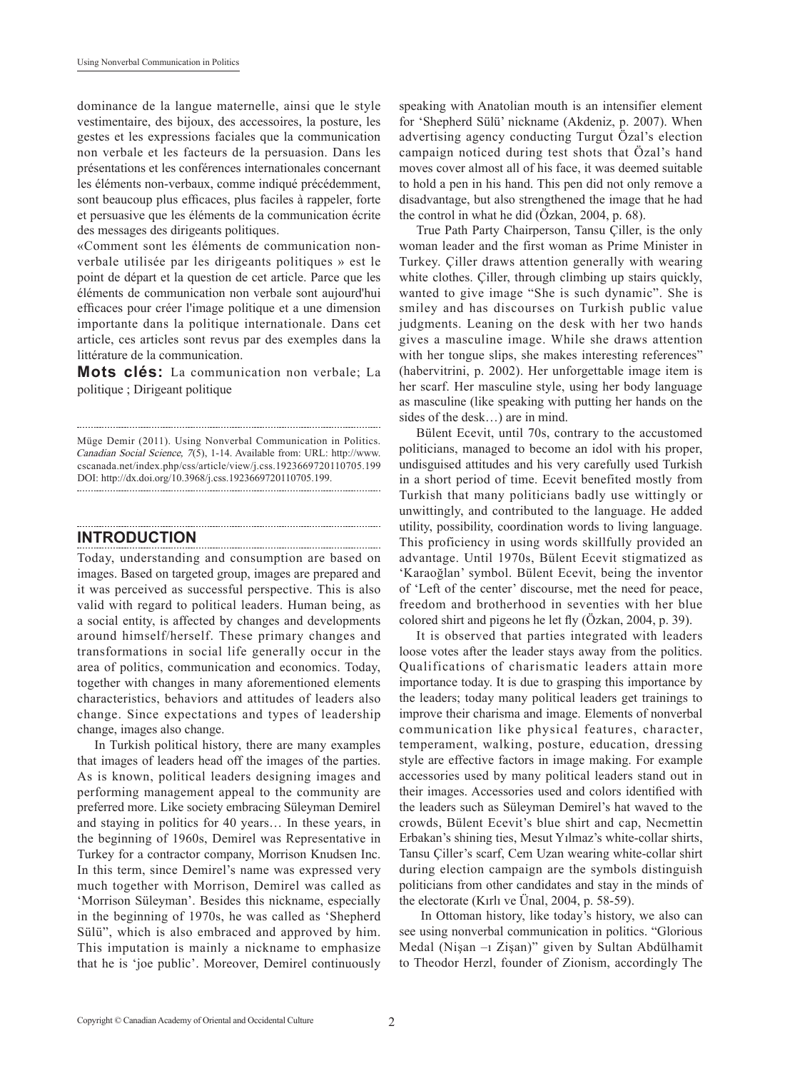dominance de la langue maternelle, ainsi que le style vestimentaire, des bijoux, des accessoires, la posture, les gestes et les expressions faciales que la communication non verbale et les facteurs de la persuasion. Dans les présentations et les conférences internationales concernant les éléments non-verbaux, comme indiqué précédemment, sont beaucoup plus efficaces, plus faciles à rappeler, forte et persuasive que les éléments de la communication écrite des messages des dirigeants politiques.

«Comment sont les éléments de communication nonverbale utilisée par les dirigeants politiques » est le point de départ et la question de cet article. Parce que les éléments de communication non verbale sont aujourd'hui efficaces pour créer l'image politique et a une dimension importante dans la politique internationale. Dans cet article, ces articles sont revus par des exemples dans la littérature de la communication.

**Mots clés:** La communication non verbale; La politique ; Dirigeant politique

## **INTRODUCTION**

Today, understanding and consumption are based on images. Based on targeted group, images are prepared and it was perceived as successful perspective. This is also valid with regard to political leaders. Human being, as a social entity, is affected by changes and developments around himself/herself. These primary changes and transformations in social life generally occur in the area of politics, communication and economics. Today, together with changes in many aforementioned elements characteristics, behaviors and attitudes of leaders also change. Since expectations and types of leadership change, images also change.

In Turkish political history, there are many examples that images of leaders head off the images of the parties. As is known, political leaders designing images and performing management appeal to the community are preferred more. Like society embracing Süleyman Demirel and staying in politics for 40 years… In these years, in the beginning of 1960s, Demirel was Representative in Turkey for a contractor company, Morrison Knudsen Inc. In this term, since Demirel's name was expressed very much together with Morrison, Demirel was called as 'Morrison Süleyman'. Besides this nickname, especially in the beginning of 1970s, he was called as 'Shepherd Sülü", which is also embraced and approved by him. This imputation is mainly a nickname to emphasize that he is 'joe public'. Moreover, Demirel continuously

speaking with Anatolian mouth is an intensifier element for 'Shepherd Sülü' nickname (Akdeniz, p. 2007). When advertising agency conducting Turgut Özal's election campaign noticed during test shots that Özal's hand moves cover almost all of his face, it was deemed suitable to hold a pen in his hand. This pen did not only remove a disadvantage, but also strengthened the image that he had the control in what he did (Özkan, 2004, p. 68).

True Path Party Chairperson, Tansu Çiller, is the only woman leader and the first woman as Prime Minister in Turkey. Çiller draws attention generally with wearing white clothes. Çiller, through climbing up stairs quickly, wanted to give image "She is such dynamic". She is smiley and has discourses on Turkish public value judgments. Leaning on the desk with her two hands gives a masculine image. While she draws attention with her tongue slips, she makes interesting references" (habervitrini, p. 2002). Her unforgettable image item is her scarf. Her masculine style, using her body language as masculine (like speaking with putting her hands on the sides of the desk…) are in mind.

Bülent Ecevit, until 70s, contrary to the accustomed politicians, managed to become an idol with his proper, undisguised attitudes and his very carefully used Turkish in a short period of time. Ecevit benefited mostly from Turkish that many politicians badly use wittingly or unwittingly, and contributed to the language. He added utility, possibility, coordination words to living language. This proficiency in using words skillfully provided an advantage. Until 1970s, Bülent Ecevit stigmatized as 'Karaoğlan' symbol. Bülent Ecevit, being the inventor of 'Left of the center' discourse, met the need for peace, freedom and brotherhood in seventies with her blue colored shirt and pigeons he let fly (Özkan, 2004, p. 39).

It is observed that parties integrated with leaders loose votes after the leader stays away from the politics. Qualifications of charismatic leaders attain more importance today. It is due to grasping this importance by the leaders; today many political leaders get trainings to improve their charisma and image. Elements of nonverbal communication like physical features, character, temperament, walking, posture, education, dressing style are effective factors in image making. For example accessories used by many political leaders stand out in their images. Accessories used and colors identified with the leaders such as Süleyman Demirel's hat waved to the crowds, Bülent Ecevit's blue shirt and cap, Necmettin Erbakan's shining ties, Mesut Yılmaz's white-collar shirts, Tansu Çiller's scarf, Cem Uzan wearing white-collar shirt during election campaign are the symbols distinguish politicians from other candidates and stay in the minds of the electorate (Kırlı ve Ünal, 2004, p. 58-59).

 In Ottoman history, like today's history, we also can see using nonverbal communication in politics. "Glorious Medal (Nişan –ı Zişan)" given by Sultan Abdülhamit to Theodor Herzl, founder of Zionism, accordingly The

Müge Demir (2011). Using Nonverbal Communication in Politics. Canadian Social Science, 7(5), 1-14. Available from: URL: http://www. cscanada.net/index.php/css/article/view/j.css.1923669720110705.199 DOI: http://dx.doi.org/10.3968/j.css.1923669720110705.199.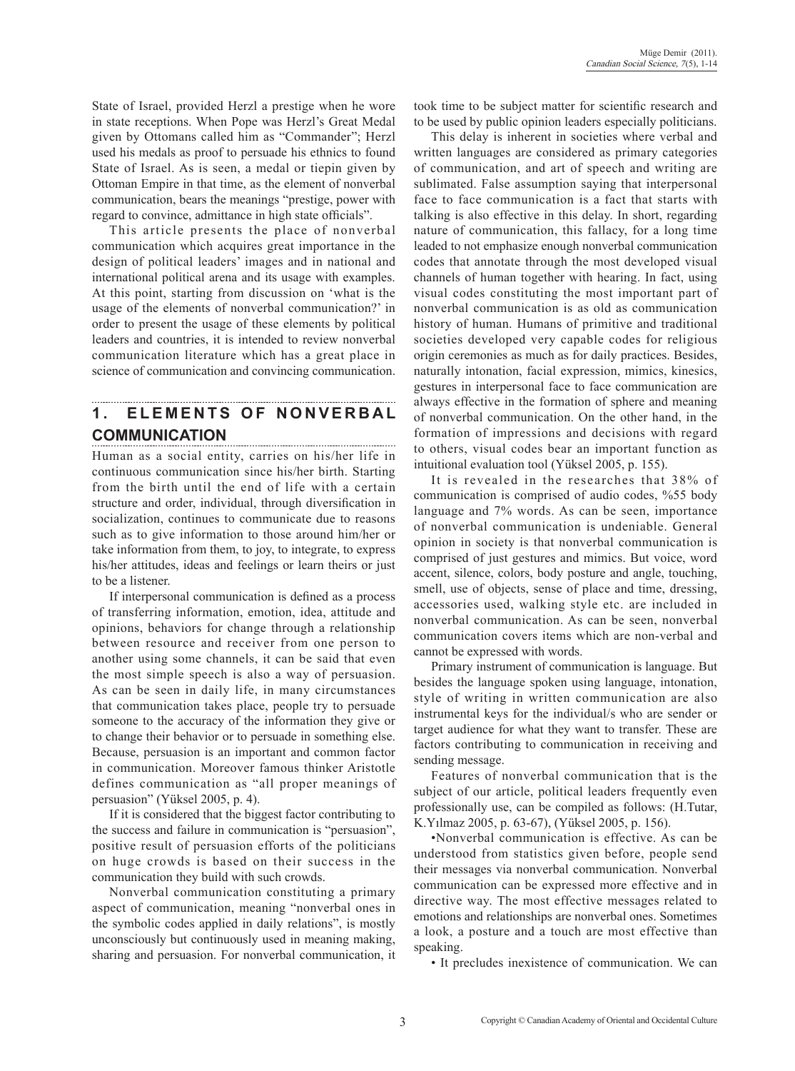State of Israel, provided Herzl a prestige when he wore in state receptions. When Pope was Herzl's Great Medal given by Ottomans called him as "Commander"; Herzl used his medals as proof to persuade his ethnics to found State of Israel. As is seen, a medal or tiepin given by Ottoman Empire in that time, as the element of nonverbal communication, bears the meanings "prestige, power with regard to convince, admittance in high state officials".

This article presents the place of nonverbal communication which acquires great importance in the design of political leaders' images and in national and international political arena and its usage with examples. At this point, starting from discussion on 'what is the usage of the elements of nonverbal communication?' in order to present the usage of these elements by political leaders and countries, it is intended to review nonverbal communication literature which has a great place in science of communication and convincing communication.

#### 1. ELEMENTS OF NONVERBAL **Communication**

Human as a social entity, carries on his/her life in continuous communication since his/her birth. Starting from the birth until the end of life with a certain structure and order, individual, through diversification in socialization, continues to communicate due to reasons such as to give information to those around him/her or take information from them, to joy, to integrate, to express his/her attitudes, ideas and feelings or learn theirs or just to be a listener.

If interpersonal communication is defined as a process of transferring information, emotion, idea, attitude and opinions, behaviors for change through a relationship between resource and receiver from one person to another using some channels, it can be said that even the most simple speech is also a way of persuasion. As can be seen in daily life, in many circumstances that communication takes place, people try to persuade someone to the accuracy of the information they give or to change their behavior or to persuade in something else. Because, persuasion is an important and common factor in communication. Moreover famous thinker Aristotle defines communication as "all proper meanings of persuasion" (Yüksel 2005, p. 4).

If it is considered that the biggest factor contributing to the success and failure in communication is "persuasion", positive result of persuasion efforts of the politicians on huge crowds is based on their success in the communication they build with such crowds.

Nonverbal communication constituting a primary aspect of communication, meaning "nonverbal ones in the symbolic codes applied in daily relations", is mostly unconsciously but continuously used in meaning making, sharing and persuasion. For nonverbal communication, it took time to be subject matter for scientific research and to be used by public opinion leaders especially politicians.

This delay is inherent in societies where verbal and written languages are considered as primary categories of communication, and art of speech and writing are sublimated. False assumption saying that interpersonal face to face communication is a fact that starts with talking is also effective in this delay. In short, regarding nature of communication, this fallacy, for a long time leaded to not emphasize enough nonverbal communication codes that annotate through the most developed visual channels of human together with hearing. In fact, using visual codes constituting the most important part of nonverbal communication is as old as communication history of human. Humans of primitive and traditional societies developed very capable codes for religious origin ceremonies as much as for daily practices. Besides, naturally intonation, facial expression, mimics, kinesics, gestures in interpersonal face to face communication are always effective in the formation of sphere and meaning of nonverbal communication. On the other hand, in the formation of impressions and decisions with regard to others, visual codes bear an important function as intuitional evaluation tool (Yüksel 2005, p. 155).

It is revealed in the researches that 38% of communication is comprised of audio codes, %55 body language and 7% words. As can be seen, importance of nonverbal communication is undeniable. General opinion in society is that nonverbal communication is comprised of just gestures and mimics. But voice, word accent, silence, colors, body posture and angle, touching, smell, use of objects, sense of place and time, dressing, accessories used, walking style etc. are included in nonverbal communication. As can be seen, nonverbal communication covers items which are non-verbal and cannot be expressed with words.

Primary instrument of communication is language. But besides the language spoken using language, intonation, style of writing in written communication are also instrumental keys for the individual/s who are sender or target audience for what they want to transfer. These are factors contributing to communication in receiving and sending message.

Features of nonverbal communication that is the subject of our article, political leaders frequently even professionally use, can be compiled as follows: (H.Tutar, K.Yılmaz 2005, p. 63-67), (Yüksel 2005, p. 156).

•Nonverbal communication is effective. As can be understood from statistics given before, people send their messages via nonverbal communication. Nonverbal communication can be expressed more effective and in directive way. The most effective messages related to emotions and relationships are nonverbal ones. Sometimes a look, a posture and a touch are most effective than speaking.

• It precludes inexistence of communication. We can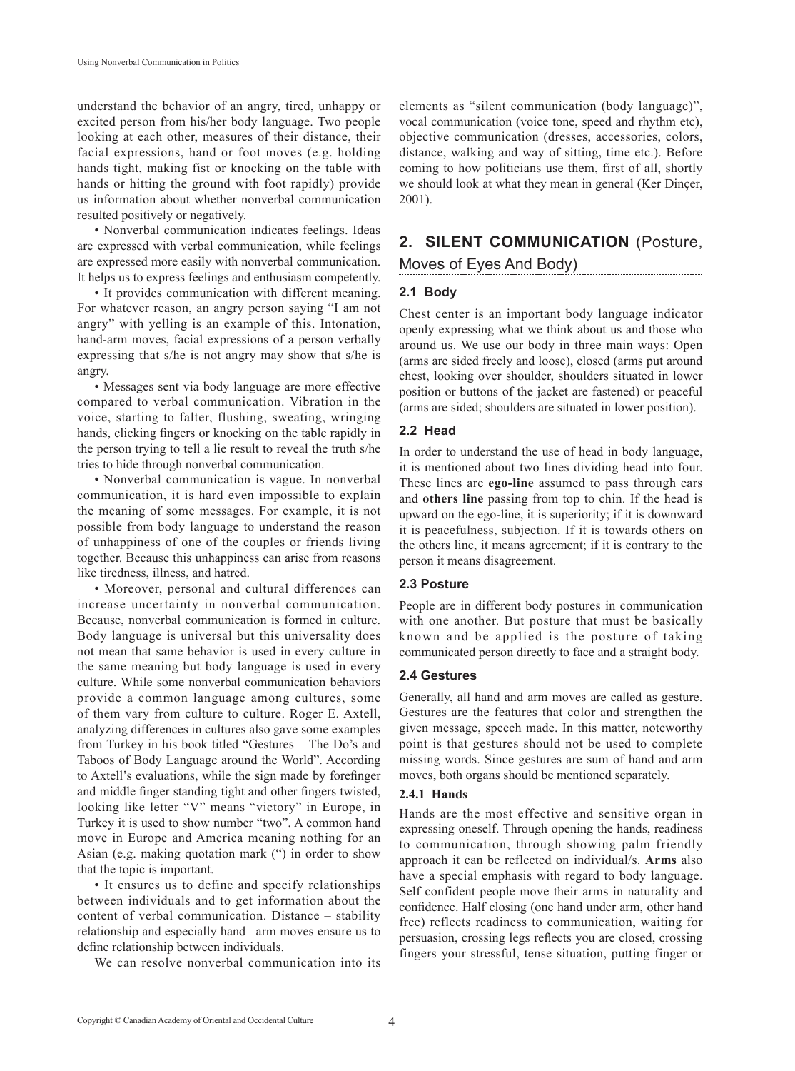understand the behavior of an angry, tired, unhappy or excited person from his/her body language. Two people looking at each other, measures of their distance, their facial expressions, hand or foot moves (e.g. holding hands tight, making fist or knocking on the table with hands or hitting the ground with foot rapidly) provide us information about whether nonverbal communication resulted positively or negatively.

• Nonverbal communication indicates feelings. Ideas are expressed with verbal communication, while feelings are expressed more easily with nonverbal communication. It helps us to express feelings and enthusiasm competently.

• It provides communication with different meaning. For whatever reason, an angry person saying "I am not angry" with yelling is an example of this. Intonation, hand-arm moves, facial expressions of a person verbally expressing that s/he is not angry may show that s/he is angry.

• Messages sent via body language are more effective compared to verbal communication. Vibration in the voice, starting to falter, flushing, sweating, wringing hands, clicking fingers or knocking on the table rapidly in the person trying to tell a lie result to reveal the truth s/he tries to hide through nonverbal communication.

• Nonverbal communication is vague. In nonverbal communication, it is hard even impossible to explain the meaning of some messages. For example, it is not possible from body language to understand the reason of unhappiness of one of the couples or friends living together. Because this unhappiness can arise from reasons like tiredness, illness, and hatred.

• Moreover, personal and cultural differences can increase uncertainty in nonverbal communication. Because, nonverbal communication is formed in culture. Body language is universal but this universality does not mean that same behavior is used in every culture in the same meaning but body language is used in every culture. While some nonverbal communication behaviors provide a common language among cultures, some of them vary from culture to culture. Roger E. Axtell, analyzing differences in cultures also gave some examples from Turkey in his book titled "Gestures – The Do's and Taboos of Body Language around the World". According to Axtell's evaluations, while the sign made by forefinger and middle finger standing tight and other fingers twisted, looking like letter "V" means "victory" in Europe, in Turkey it is used to show number "two". A common hand move in Europe and America meaning nothing for an Asian (e.g. making quotation mark (") in order to show that the topic is important.

• It ensures us to define and specify relationships between individuals and to get information about the content of verbal communication. Distance – stability relationship and especially hand –arm moves ensure us to define relationship between individuals.

We can resolve nonverbal communication into its

elements as "silent communication (body language)", vocal communication (voice tone, speed and rhythm etc), objective communication (dresses, accessories, colors, distance, walking and way of sitting, time etc.). Before coming to how politicians use them, first of all, shortly we should look at what they mean in general (Ker Dinçer, 2001).

# **2. SILENT COMMUNICATION** (Posture,

### Moves of Eyes And Body)

#### **2.1 Body**

Chest center is an important body language indicator openly expressing what we think about us and those who around us. We use our body in three main ways: Open (arms are sided freely and loose), closed (arms put around chest, looking over shoulder, shoulders situated in lower position or buttons of the jacket are fastened) or peaceful (arms are sided; shoulders are situated in lower position).

#### **2.2 Head**

In order to understand the use of head in body language, it is mentioned about two lines dividing head into four. These lines are **ego-line** assumed to pass through ears and **others line** passing from top to chin. If the head is upward on the ego-line, it is superiority; if it is downward it is peacefulness, subjection. If it is towards others on the others line, it means agreement; if it is contrary to the person it means disagreement.

#### **2.3 Posture**

People are in different body postures in communication with one another. But posture that must be basically known and be applied is the posture of taking communicated person directly to face and a straight body.

#### **2.4 Gestures**

Generally, all hand and arm moves are called as gesture. Gestures are the features that color and strengthen the given message, speech made. In this matter, noteworthy point is that gestures should not be used to complete missing words. Since gestures are sum of hand and arm moves, both organs should be mentioned separately.

#### **2.4.1 Hands**

Hands are the most effective and sensitive organ in expressing oneself. Through opening the hands, readiness to communication, through showing palm friendly approach it can be reflected on individual/s. **Arms** also have a special emphasis with regard to body language. Self confident people move their arms in naturality and confidence. Half closing (one hand under arm, other hand free) reflects readiness to communication, waiting for persuasion, crossing legs reflects you are closed, crossing fingers your stressful, tense situation, putting finger or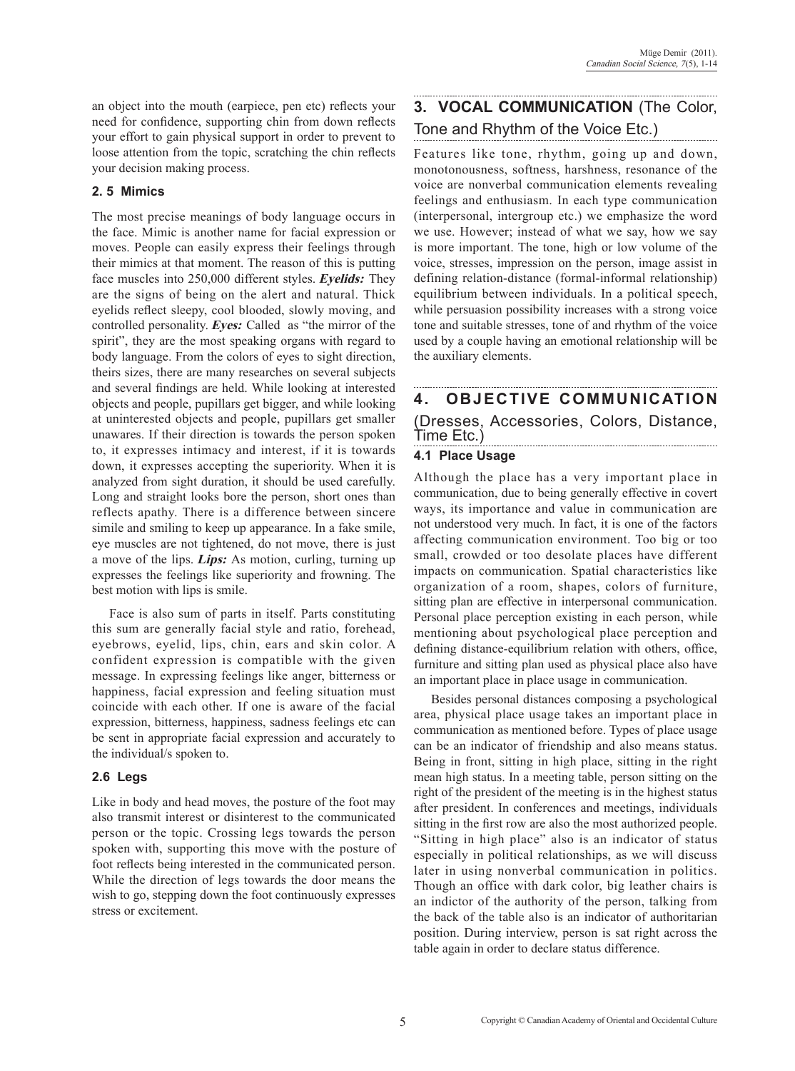an object into the mouth (earpiece, pen etc) reflects your need for confidence, supporting chin from down reflects your effort to gain physical support in order to prevent to loose attention from the topic, scratching the chin reflects your decision making process.

### **2. 5 Mimics**

The most precise meanings of body language occurs in the face. Mimic is another name for facial expression or moves. People can easily express their feelings through their mimics at that moment. The reason of this is putting face muscles into 250,000 different styles. **Eyelids:** They are the signs of being on the alert and natural. Thick eyelids reflect sleepy, cool blooded, slowly moving, and controlled personality. **Eyes:** Called as "the mirror of the spirit", they are the most speaking organs with regard to body language. From the colors of eyes to sight direction, theirs sizes, there are many researches on several subjects and several findings are held. While looking at interested objects and people, pupillars get bigger, and while looking at uninterested objects and people, pupillars get smaller unawares. If their direction is towards the person spoken to, it expresses intimacy and interest, if it is towards down, it expresses accepting the superiority. When it is analyzed from sight duration, it should be used carefully. Long and straight looks bore the person, short ones than reflects apathy. There is a difference between sincere simile and smiling to keep up appearance. In a fake smile, eye muscles are not tightened, do not move, there is just a move of the lips. **Lips:** As motion, curling, turning up expresses the feelings like superiority and frowning. The best motion with lips is smile.

Face is also sum of parts in itself. Parts constituting this sum are generally facial style and ratio, forehead, eyebrows, eyelid, lips, chin, ears and skin color. A confident expression is compatible with the given message. In expressing feelings like anger, bitterness or happiness, facial expression and feeling situation must coincide with each other. If one is aware of the facial expression, bitterness, happiness, sadness feelings etc can be sent in appropriate facial expression and accurately to the individual/s spoken to.

### **2.6 Legs**

Like in body and head moves, the posture of the foot may also transmit interest or disinterest to the communicated person or the topic. Crossing legs towards the person spoken with, supporting this move with the posture of foot reflects being interested in the communicated person. While the direction of legs towards the door means the wish to go, stepping down the foot continuously expresses stress or excitement.

# **3. VOCAL COMMUNICATION** (The Color, Tone and Rhythm of the Voice Etc.)

Features like tone, rhythm, going up and down, monotonousness, softness, harshness, resonance of the voice are nonverbal communication elements revealing feelings and enthusiasm. In each type communication (interpersonal, intergroup etc.) we emphasize the word we use. However; instead of what we say, how we say is more important. The tone, high or low volume of the voice, stresses, impression on the person, image assist in defining relation-distance (formal-informal relationship) equilibrium between individuals. In a political speech, while persuasion possibility increases with a strong voice tone and suitable stresses, tone of and rhythm of the voice used by a couple having an emotional relationship will be the auxiliary elements.

### **4. OBJECTIVE COMMUNICATION**  (Dresses, Accessories, Colors, Distance, Time Etc.)

### **4.1 Place Usage**

Although the place has a very important place in communication, due to being generally effective in covert ways, its importance and value in communication are not understood very much. In fact, it is one of the factors affecting communication environment. Too big or too small, crowded or too desolate places have different impacts on communication. Spatial characteristics like organization of a room, shapes, colors of furniture, sitting plan are effective in interpersonal communication. Personal place perception existing in each person, while mentioning about psychological place perception and defining distance-equilibrium relation with others, office, furniture and sitting plan used as physical place also have an important place in place usage in communication.

Besides personal distances composing a psychological area, physical place usage takes an important place in communication as mentioned before. Types of place usage can be an indicator of friendship and also means status. Being in front, sitting in high place, sitting in the right mean high status. In a meeting table, person sitting on the right of the president of the meeting is in the highest status after president. In conferences and meetings, individuals sitting in the first row are also the most authorized people. "Sitting in high place" also is an indicator of status especially in political relationships, as we will discuss later in using nonverbal communication in politics. Though an office with dark color, big leather chairs is an indictor of the authority of the person, talking from the back of the table also is an indicator of authoritarian position. During interview, person is sat right across the table again in order to declare status difference.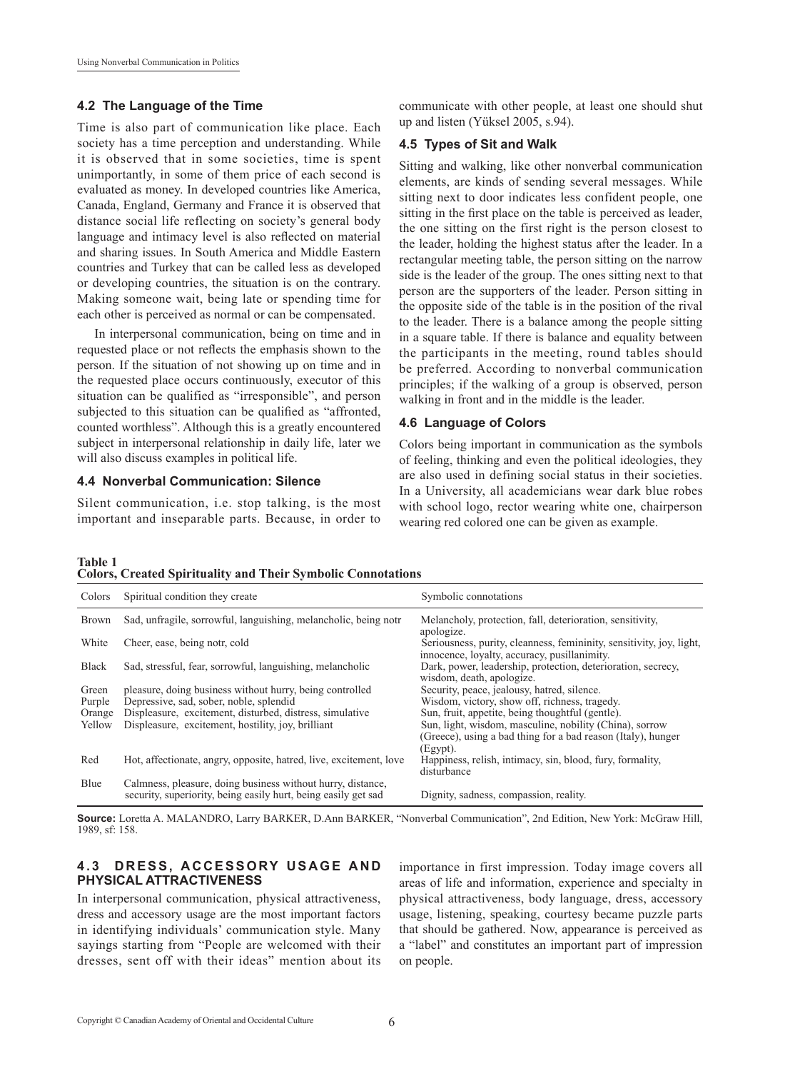#### **4.2 The Language of the Time**

Time is also part of communication like place. Each society has a time perception and understanding. While it is observed that in some societies, time is spent unimportantly, in some of them price of each second is evaluated as money. In developed countries like America, Canada, England, Germany and France it is observed that distance social life reflecting on society's general body language and intimacy level is also reflected on material and sharing issues. In South America and Middle Eastern countries and Turkey that can be called less as developed or developing countries, the situation is on the contrary. Making someone wait, being late or spending time for each other is perceived as normal or can be compensated.

In interpersonal communication, being on time and in requested place or not reflects the emphasis shown to the person. If the situation of not showing up on time and in the requested place occurs continuously, executor of this situation can be qualified as "irresponsible", and person subjected to this situation can be qualified as "affronted, counted worthless". Although this is a greatly encountered subject in interpersonal relationship in daily life, later we will also discuss examples in political life.

#### **4.4 Nonverbal Communication: Silence**

Silent communication, i.e. stop talking, is the most important and inseparable parts. Because, in order to communicate with other people, at least one should shut up and listen (Yüksel 2005, s.94).

#### **4.5 Types of Sit and Walk**

Sitting and walking, like other nonverbal communication elements, are kinds of sending several messages. While sitting next to door indicates less confident people, one sitting in the first place on the table is perceived as leader, the one sitting on the first right is the person closest to the leader, holding the highest status after the leader. In a rectangular meeting table, the person sitting on the narrow side is the leader of the group. The ones sitting next to that person are the supporters of the leader. Person sitting in the opposite side of the table is in the position of the rival to the leader. There is a balance among the people sitting in a square table. If there is balance and equality between the participants in the meeting, round tables should be preferred. According to nonverbal communication principles; if the walking of a group is observed, person walking in front and in the middle is the leader.

#### **4.6 Language of colors**

Colors being important in communication as the symbols of feeling, thinking and even the political ideologies, they are also used in defining social status in their societies. In a University, all academicians wear dark blue robes with school logo, rector wearing white one, chairperson wearing red colored one can be given as example.

**Table 1 Colors, Created Spirituality and Their Symbolic Connotations**

| Colors       | Spiritual condition they create                                                                                               | Symbolic connotations                                                                                                |
|--------------|-------------------------------------------------------------------------------------------------------------------------------|----------------------------------------------------------------------------------------------------------------------|
| <b>Brown</b> | Sad, unfragile, sorrowful, languishing, melancholic, being notr                                                               | Melancholy, protection, fall, deterioration, sensitivity,<br>apologize.                                              |
| White        | Cheer, ease, being notr, cold                                                                                                 | Seriousness, purity, cleanness, femininity, sensitivity, joy, light,<br>innocence, loyalty, accuracy, pusillanimity. |
| <b>Black</b> | Sad, stressful, fear, sorrowful, languishing, melancholic                                                                     | Dark, power, leadership, protection, deterioration, secrecy,<br>wisdom, death, apologize.                            |
| Green        | pleasure, doing business without hurry, being controlled                                                                      | Security, peace, jealousy, hatred, silence.                                                                          |
| Purple       | Depressive, sad, sober, noble, splendid                                                                                       | Wisdom, victory, show off, richness, tragedy.                                                                        |
| Orange       | Displeasure, excitement, disturbed, distress, simulative                                                                      | Sun, fruit, appetite, being thoughtful (gentle).                                                                     |
| Yellow       | Displeasure, excitement, hostility, joy, brilliant                                                                            | Sun, light, wisdom, masculine, nobility (China), sorrow                                                              |
|              |                                                                                                                               | (Greece), using a bad thing for a bad reason (Italy), hunger<br>(Egypt).                                             |
| Red          | Hot, affectionate, angry, opposite, hatred, live, excitement, love                                                            | Happiness, relish, intimacy, sin, blood, fury, formality,<br>disturbance                                             |
| Blue         | Calmness, pleasure, doing business without hurry, distance,<br>security, superiority, being easily hurt, being easily get sad | Dignity, sadness, compassion, reality.                                                                               |

**Source:** Loretta A. MALANDRO, Larry BARKER, D.Ann BARKER, "Nonverbal Communication", 2nd Edition, New York: McGraw Hill, 1989, sf: 158.

#### **4.3 D ress, A cces sory Us age A nd Physical Attractiveness**

In interpersonal communication, physical attractiveness, dress and accessory usage are the most important factors in identifying individuals' communication style. Many sayings starting from "People are welcomed with their dresses, sent off with their ideas" mention about its importance in first impression. Today image covers all areas of life and information, experience and specialty in physical attractiveness, body language, dress, accessory usage, listening, speaking, courtesy became puzzle parts that should be gathered. Now, appearance is perceived as a "label" and constitutes an important part of impression on people.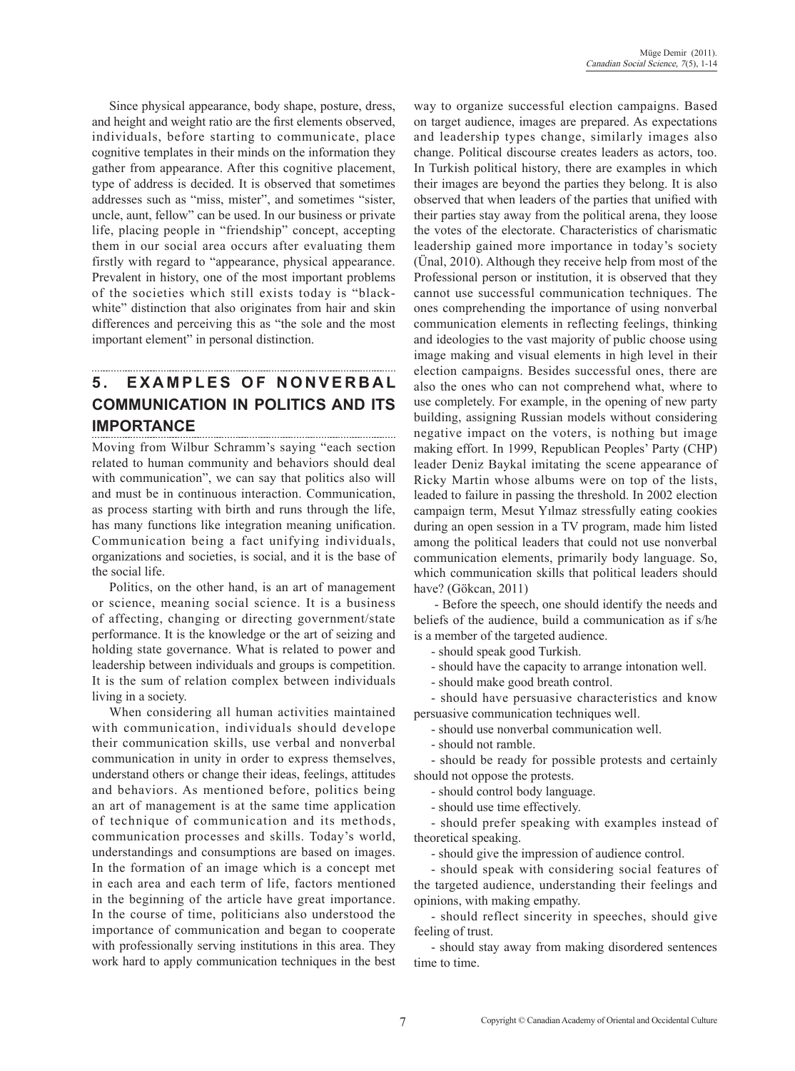Since physical appearance, body shape, posture, dress, and height and weight ratio are the first elements observed, individuals, before starting to communicate, place cognitive templates in their minds on the information they gather from appearance. After this cognitive placement, type of address is decided. It is observed that sometimes addresses such as "miss, mister", and sometimes "sister, uncle, aunt, fellow" can be used. In our business or private life, placing people in "friendship" concept, accepting them in our social area occurs after evaluating them firstly with regard to "appearance, physical appearance. Prevalent in history, one of the most important problems of the societies which still exists today is "blackwhite" distinction that also originates from hair and skin differences and perceiving this as "the sole and the most important element" in personal distinction.

### **5. EXAMPLES OF NONVERBAL communication in politics and its importance**

Moving from Wilbur Schramm's saying "each section related to human community and behaviors should deal with communication", we can say that politics also will and must be in continuous interaction. Communication, as process starting with birth and runs through the life, has many functions like integration meaning unification. Communication being a fact unifying individuals, organizations and societies, is social, and it is the base of the social life.

Politics, on the other hand, is an art of management or science, meaning social science. It is a business of affecting, changing or directing government/state performance. It is the knowledge or the art of seizing and holding state governance. What is related to power and leadership between individuals and groups is competition. It is the sum of relation complex between individuals living in a society.

When considering all human activities maintained with communication, individuals should develope their communication skills, use verbal and nonverbal communication in unity in order to express themselves, understand others or change their ideas, feelings, attitudes and behaviors. As mentioned before, politics being an art of management is at the same time application of technique of communication and its methods, communication processes and skills. Today's world, understandings and consumptions are based on images. In the formation of an image which is a concept met in each area and each term of life, factors mentioned in the beginning of the article have great importance. In the course of time, politicians also understood the importance of communication and began to cooperate with professionally serving institutions in this area. They work hard to apply communication techniques in the best way to organize successful election campaigns. Based on target audience, images are prepared. As expectations and leadership types change, similarly images also change. Political discourse creates leaders as actors, too. In Turkish political history, there are examples in which their images are beyond the parties they belong. It is also observed that when leaders of the parties that unified with their parties stay away from the political arena, they loose the votes of the electorate. Characteristics of charismatic leadership gained more importance in today's society (Ünal, 2010). Although they receive help from most of the Professional person or institution, it is observed that they cannot use successful communication techniques. The ones comprehending the importance of using nonverbal communication elements in reflecting feelings, thinking and ideologies to the vast majority of public choose using image making and visual elements in high level in their election campaigns. Besides successful ones, there are also the ones who can not comprehend what, where to use completely. For example, in the opening of new party building, assigning Russian models without considering negative impact on the voters, is nothing but image making effort. In 1999, Republican Peoples' Party (CHP) leader Deniz Baykal imitating the scene appearance of Ricky Martin whose albums were on top of the lists, leaded to failure in passing the threshold. In 2002 election campaign term, Mesut Yılmaz stressfully eating cookies during an open session in a TV program, made him listed among the political leaders that could not use nonverbal communication elements, primarily body language. So, which communication skills that political leaders should have? (Gökcan, 2011)

 - Before the speech, one should identify the needs and beliefs of the audience, build a communication as if s/he is a member of the targeted audience.

- should speak good Turkish.

- should have the capacity to arrange intonation well.

- should make good breath control.

- should have persuasive characteristics and know persuasive communication techniques well.

- should use nonverbal communication well.

- should not ramble.

- should be ready for possible protests and certainly should not oppose the protests.

- should control body language.

- should use time effectively.

- should prefer speaking with examples instead of theoretical speaking.

- should give the impression of audience control.

- should speak with considering social features of the targeted audience, understanding their feelings and opinions, with making empathy.

- should reflect sincerity in speeches, should give feeling of trust.

- should stay away from making disordered sentences time to time.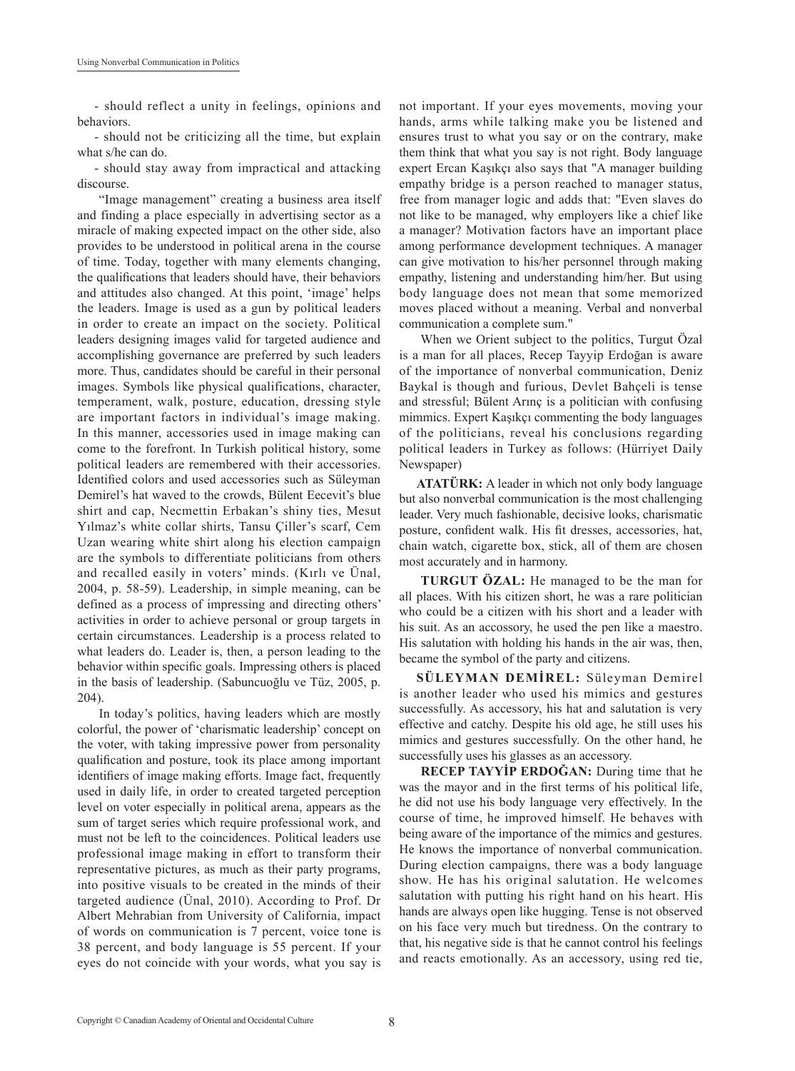- should reflect a unity in feelings, opinions and behaviors.

- should not be criticizing all the time, but explain what s/he can do.

- should stay away from impractical and attacking discourse.

 "Image management" creating a business area itself and finding a place especially in advertising sector as a miracle of making expected impact on the other side, also provides to be understood in political arena in the course of time. Today, together with many elements changing, the qualifications that leaders should have, their behaviors and attitudes also changed. At this point, 'image' helps the leaders. Image is used as a gun by political leaders in order to create an impact on the society. Political leaders designing images valid for targeted audience and accomplishing governance are preferred by such leaders more. Thus, candidates should be careful in their personal images. Symbols like physical qualifications, character, temperament, walk, posture, education, dressing style are important factors in individual's image making. In this manner, accessories used in image making can come to the forefront. In Turkish political history, some political leaders are remembered with their accessories. Identified colors and used accessories such as Süleyman Demirel's hat waved to the crowds, Bülent Eecevit's blue shirt and cap, Necmettin Erbakan's shiny ties, Mesut Yılmaz's white collar shirts, Tansu Çiller's scarf, Cem Uzan wearing white shirt along his election campaign are the symbols to differentiate politicians from others and recalled easily in voters' minds. (Kırlı ve Ünal, 2004, p. 58-59). Leadership, in simple meaning, can be defined as a process of impressing and directing others' activities in order to achieve personal or group targets in certain circumstances. Leadership is a process related to what leaders do. Leader is, then, a person leading to the behavior within specific goals. Impressing others is placed in the basis of leadership. (Sabuncuoğlu ve Tüz, 2005, p. 204).

 In today's politics, having leaders which are mostly colorful, the power of 'charismatic leadership' concept on the voter, with taking impressive power from personality qualification and posture, took its place among important identifiers of image making efforts. Image fact, frequently used in daily life, in order to created targeted perception level on voter especially in political arena, appears as the sum of target series which require professional work, and must not be left to the coincidences. Political leaders use professional image making in effort to transform their representative pictures, as much as their party programs, into positive visuals to be created in the minds of their targeted audience (Ünal, 2010). According to Prof. Dr Albert Mehrabian from University of California, impact of words on communication is 7 percent, voice tone is 38 percent, and body language is 55 percent. If your eyes do not coincide with your words, what you say is not important. If your eyes movements, moving your hands, arms while talking make you be listened and ensures trust to what you say or on the contrary, make them think that what you say is not right. Body language expert Ercan Kaşıkçı also says that "A manager building empathy bridge is a person reached to manager status, free from manager logic and adds that: "Even slaves do not like to be managed, why employers like a chief like a manager? Motivation factors have an important place among performance development techniques. A manager can give motivation to his/her personnel through making empathy, listening and understanding him/her. But using body language does not mean that some memorized moves placed without a meaning. Verbal and nonverbal communication a complete sum."

 When we Orient subject to the politics, Turgut Özal is a man for all places, Recep Tayyip Erdoğan is aware of the importance of nonverbal communication, Deniz Baykal is though and furious, Devlet Bahçeli is tense and stressful; Bülent Arınç is a politician with confusing mimmics. Expert Kaşıkçı commenting the body languages of the politicians, reveal his conclusions regarding political leaders in Turkey as follows: (Hürriyet Daily Newspaper)

**ATATÜRK:** A leader in which not only body language but also nonverbal communication is the most challenging leader. Very much fashionable, decisive looks, charismatic posture, confident walk. His fit dresses, accessories, hat, chain watch, cigarette box, stick, all of them are chosen most accurately and in harmony.

 **TURGUT ÖZAL:** He managed to be the man for all places. With his citizen short, he was a rare politician who could be a citizen with his short and a leader with his suit. As an accossory, he used the pen like a maestro. His salutation with holding his hands in the air was, then, became the symbol of the party and citizens.

**SÜLEYMAN DEMİREL:** Süleyman Demirel is another leader who used his mimics and gestures successfully. As accessory, his hat and salutation is very effective and catchy. Despite his old age, he still uses his mimics and gestures successfully. On the other hand, he successfully uses his glasses as an accessory.

**RECEP TAYYİP ERDOĞAN:** During time that he was the mayor and in the first terms of his political life, he did not use his body language very effectively. In the course of time, he improved himself. He behaves with being aware of the importance of the mimics and gestures. He knows the importance of nonverbal communication. During election campaigns, there was a body language show. He has his original salutation. He welcomes salutation with putting his right hand on his heart. His hands are always open like hugging. Tense is not observed on his face very much but tiredness. On the contrary to that, his negative side is that he cannot control his feelings and reacts emotionally. As an accessory, using red tie,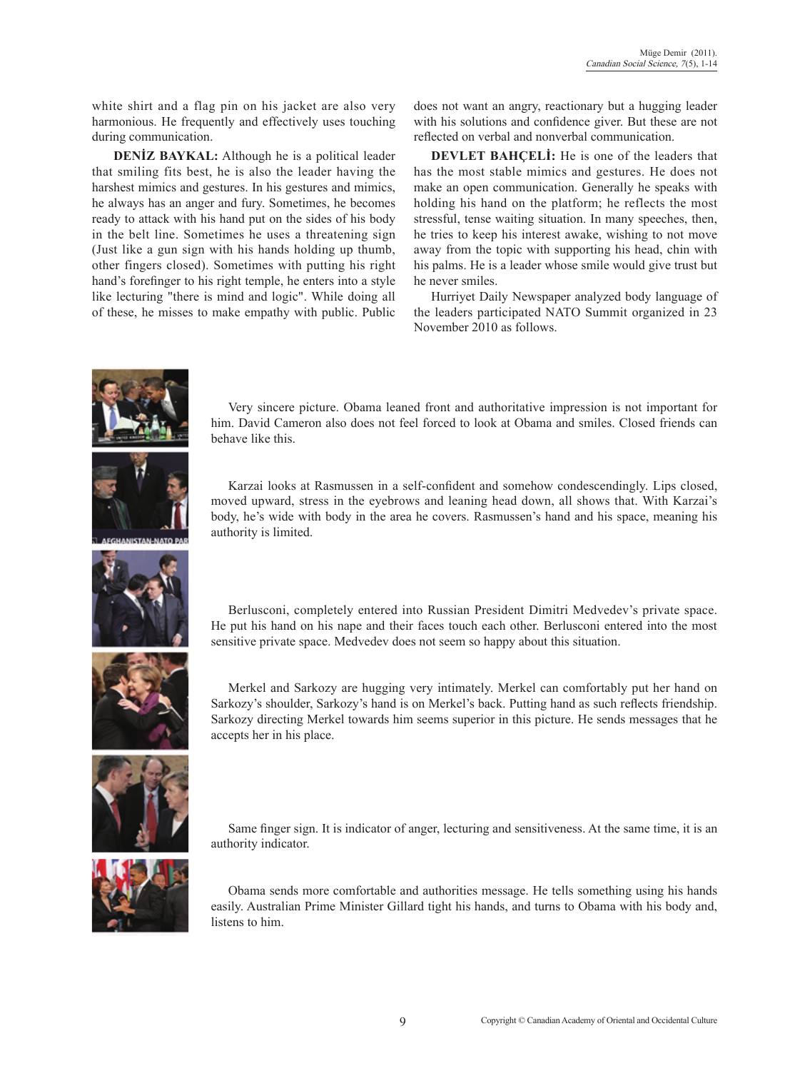white shirt and a flag pin on his jacket are also very harmonious. He frequently and effectively uses touching during communication.

 **DENİZ BAYKAL:** Although he is a political leader that smiling fits best, he is also the leader having the harshest mimics and gestures. In his gestures and mimics, he always has an anger and fury. Sometimes, he becomes ready to attack with his hand put on the sides of his body in the belt line. Sometimes he uses a threatening sign (Just like a gun sign with his hands holding up thumb, other fingers closed). Sometimes with putting his right hand's forefinger to his right temple, he enters into a style like lecturing "there is mind and logic". While doing all of these, he misses to make empathy with public. Public does not want an angry, reactionary but a hugging leader with his solutions and confidence giver. But these are not reflected on verbal and nonverbal communication.

**DEVLET BAHCELI:** He is one of the leaders that has the most stable mimics and gestures. He does not make an open communication. Generally he speaks with holding his hand on the platform; he reflects the most stressful, tense waiting situation. In many speeches, then, he tries to keep his interest awake, wishing to not move away from the topic with supporting his head, chin with his palms. He is a leader whose smile would give trust but he never smiles.

Hurriyet Daily Newspaper analyzed body language of the leaders participated NATO Summit organized in 23 November 2010 as follows.



Very sincere picture. Obama leaned front and authoritative impression is not important for him. David Cameron also does not feel forced to look at Obama and smiles. Closed friends can behave like this.



Karzai looks at Rasmussen in a self-confident and somehow condescendingly. Lips closed, moved upward, stress in the eyebrows and leaning head down, all shows that. With Karzai's body, he's wide with body in the area he covers. Rasmussen's hand and his space, meaning his authority is limited.



Berlusconi, completely entered into Russian President Dimitri Medvedev's private space. He put his hand on his nape and their faces touch each other. Berlusconi entered into the most sensitive private space. Medvedev does not seem so happy about this situation.



Merkel and Sarkozy are hugging very intimately. Merkel can comfortably put her hand on Sarkozy's shoulder, Sarkozy's hand is on Merkel's back. Putting hand as such reflects friendship. Sarkozy directing Merkel towards him seems superior in this picture. He sends messages that he accepts her in his place.



Same finger sign. It is indicator of anger, lecturing and sensitiveness. At the same time, it is an authority indicator.



Obama sends more comfortable and authorities message. He tells something using his hands easily. Australian Prime Minister Gillard tight his hands, and turns to Obama with his body and, listens to him.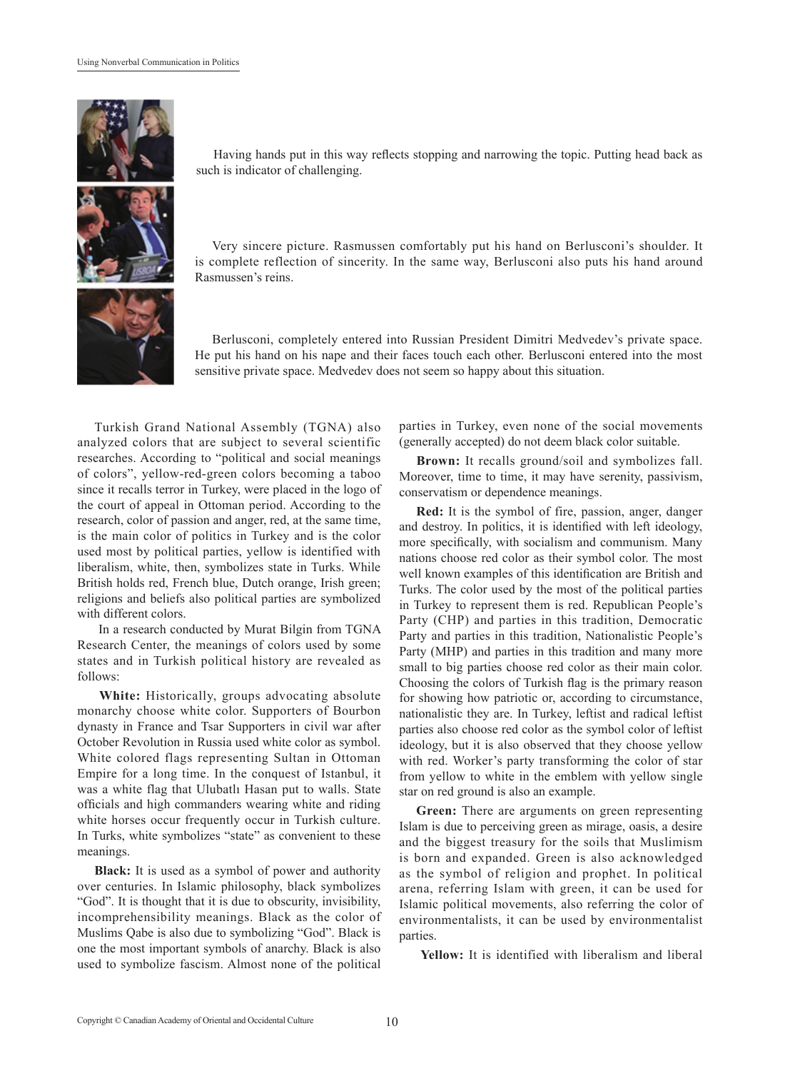

Having hands put in this way reflects stopping and narrowing the topic. Putting head back as such is indicator of challenging.

Very sincere picture. Rasmussen comfortably put his hand on Berlusconi's shoulder. It is complete reflection of sincerity. In the same way, Berlusconi also puts his hand around Rasmussen's reins.

Berlusconi, completely entered into Russian President Dimitri Medvedev's private space. He put his hand on his nape and their faces touch each other. Berlusconi entered into the most sensitive private space. Medvedev does not seem so happy about this situation.

Turkish Grand National Assembly (TGNA) also analyzed colors that are subject to several scientific researches. According to "political and social meanings of colors", yellow-red-green colors becoming a taboo since it recalls terror in Turkey, were placed in the logo of the court of appeal in Ottoman period. According to the research, color of passion and anger, red, at the same time, is the main color of politics in Turkey and is the color used most by political parties, yellow is identified with liberalism, white, then, symbolizes state in Turks. While British holds red, French blue, Dutch orange, Irish green; religions and beliefs also political parties are symbolized with different colors.

 In a research conducted by Murat Bilgin from TGNA Research Center, the meanings of colors used by some states and in Turkish political history are revealed as follows:

 **White:** Historically, groups advocating absolute monarchy choose white color. Supporters of Bourbon dynasty in France and Tsar Supporters in civil war after October Revolution in Russia used white color as symbol. White colored flags representing Sultan in Ottoman Empire for a long time. In the conquest of Istanbul, it was a white flag that Ulubatlı Hasan put to walls. State officials and high commanders wearing white and riding white horses occur frequently occur in Turkish culture. In Turks, white symbolizes "state" as convenient to these meanings.

**Black:** It is used as a symbol of power and authority over centuries. In Islamic philosophy, black symbolizes "God". It is thought that it is due to obscurity, invisibility, incomprehensibility meanings. Black as the color of Muslims Qabe is also due to symbolizing "God". Black is one the most important symbols of anarchy. Black is also used to symbolize fascism. Almost none of the political

parties in Turkey, even none of the social movements (generally accepted) do not deem black color suitable.

**Brown:** It recalls ground/soil and symbolizes fall. Moreover, time to time, it may have serenity, passivism, conservatism or dependence meanings.

**Red:** It is the symbol of fire, passion, anger, danger and destroy. In politics, it is identified with left ideology, more specifically, with socialism and communism. Many nations choose red color as their symbol color. The most well known examples of this identification are British and Turks. The color used by the most of the political parties in Turkey to represent them is red. Republican People's Party (CHP) and parties in this tradition, Democratic Party and parties in this tradition, Nationalistic People's Party (MHP) and parties in this tradition and many more small to big parties choose red color as their main color. Choosing the colors of Turkish flag is the primary reason for showing how patriotic or, according to circumstance, nationalistic they are. In Turkey, leftist and radical leftist parties also choose red color as the symbol color of leftist ideology, but it is also observed that they choose yellow with red. Worker's party transforming the color of star from yellow to white in the emblem with yellow single star on red ground is also an example.

Green: There are arguments on green representing Islam is due to perceiving green as mirage, oasis, a desire and the biggest treasury for the soils that Muslimism is born and expanded. Green is also acknowledged as the symbol of religion and prophet. In political arena, referring Islam with green, it can be used for Islamic political movements, also referring the color of environmentalists, it can be used by environmentalist parties.

 **Yellow:** It is identified with liberalism and liberal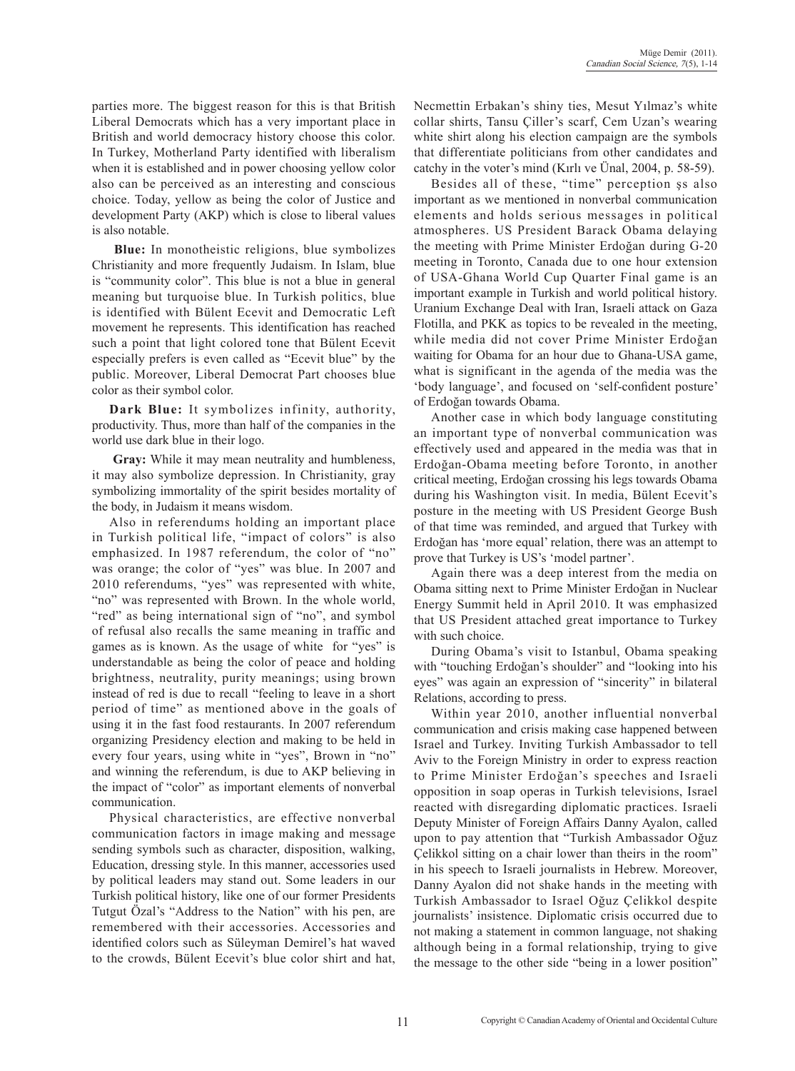parties more. The biggest reason for this is that British Liberal Democrats which has a very important place in British and world democracy history choose this color. In Turkey, Motherland Party identified with liberalism when it is established and in power choosing yellow color also can be perceived as an interesting and conscious choice. Today, yellow as being the color of Justice and development Party (AKP) which is close to liberal values is also notable.

 **Blue:** In monotheistic religions, blue symbolizes Christianity and more frequently Judaism. In Islam, blue is "community color". This blue is not a blue in general meaning but turquoise blue. In Turkish politics, blue is identified with Bülent Ecevit and Democratic Left movement he represents. This identification has reached such a point that light colored tone that Bülent Ecevit especially prefers is even called as "Ecevit blue" by the public. Moreover, Liberal Democrat Part chooses blue color as their symbol color.

**Dark Blue:** It symbolizes infinity, authority, productivity. Thus, more than half of the companies in the world use dark blue in their logo.

 **Gray:** While it may mean neutrality and humbleness, it may also symbolize depression. In Christianity, gray symbolizing immortality of the spirit besides mortality of the body, in Judaism it means wisdom.

Also in referendums holding an important place in Turkish political life, "impact of colors" is also emphasized. In 1987 referendum, the color of "no" was orange; the color of "yes" was blue. In 2007 and 2010 referendums, "yes" was represented with white, "no" was represented with Brown. In the whole world, "red" as being international sign of "no", and symbol of refusal also recalls the same meaning in traffic and games as is known. As the usage of white for "yes" is understandable as being the color of peace and holding brightness, neutrality, purity meanings; using brown instead of red is due to recall "feeling to leave in a short period of time" as mentioned above in the goals of using it in the fast food restaurants. In 2007 referendum organizing Presidency election and making to be held in every four years, using white in "yes", Brown in "no" and winning the referendum, is due to AKP believing in the impact of "color" as important elements of nonverbal communication.

Physical characteristics, are effective nonverbal communication factors in image making and message sending symbols such as character, disposition, walking, Education, dressing style. In this manner, accessories used by political leaders may stand out. Some leaders in our Turkish political history, like one of our former Presidents Tutgut Özal's "Address to the Nation" with his pen, are remembered with their accessories. Accessories and identified colors such as Süleyman Demirel's hat waved to the crowds, Bülent Ecevit's blue color shirt and hat, Necmettin Erbakan's shiny ties, Mesut Yılmaz's white collar shirts, Tansu Çiller's scarf, Cem Uzan's wearing white shirt along his election campaign are the symbols that differentiate politicians from other candidates and catchy in the voter's mind (Kırlı ve Ünal, 2004, p. 58-59).

Besides all of these, "time" perception şs also important as we mentioned in nonverbal communication elements and holds serious messages in political atmospheres. US President Barack Obama delaying the meeting with Prime Minister Erdoğan during G-20 meeting in Toronto, Canada due to one hour extension of USA-Ghana World Cup Quarter Final game is an important example in Turkish and world political history. Uranium Exchange Deal with Iran, Israeli attack on Gaza Flotilla, and PKK as topics to be revealed in the meeting, while media did not cover Prime Minister Erdoğan waiting for Obama for an hour due to Ghana-USA game, what is significant in the agenda of the media was the 'body language', and focused on 'self-confident posture' of Erdoğan towards Obama.

Another case in which body language constituting an important type of nonverbal communication was effectively used and appeared in the media was that in Erdoğan-Obama meeting before Toronto, in another critical meeting, Erdoğan crossing his legs towards Obama during his Washington visit. In media, Bülent Ecevit's posture in the meeting with US President George Bush of that time was reminded, and argued that Turkey with Erdoğan has 'more equal' relation, there was an attempt to prove that Turkey is US's 'model partner'.

Again there was a deep interest from the media on Obama sitting next to Prime Minister Erdoğan in Nuclear Energy Summit held in April 2010. It was emphasized that US President attached great importance to Turkey with such choice.

During Obama's visit to Istanbul, Obama speaking with "touching Erdoğan's shoulder" and "looking into his eyes" was again an expression of "sincerity" in bilateral Relations, according to press.

Within year 2010, another influential nonverbal communication and crisis making case happened between Israel and Turkey. Inviting Turkish Ambassador to tell Aviv to the Foreign Ministry in order to express reaction to Prime Minister Erdoğan's speeches and Israeli opposition in soap operas in Turkish televisions, Israel reacted with disregarding diplomatic practices. Israeli Deputy Minister of Foreign Affairs Danny Ayalon, called upon to pay attention that "Turkish Ambassador Oğuz Çelikkol sitting on a chair lower than theirs in the room" in his speech to Israeli journalists in Hebrew. Moreover, Danny Ayalon did not shake hands in the meeting with Turkish Ambassador to Israel Oğuz Çelikkol despite journalists' insistence. Diplomatic crisis occurred due to not making a statement in common language, not shaking although being in a formal relationship, trying to give the message to the other side "being in a lower position"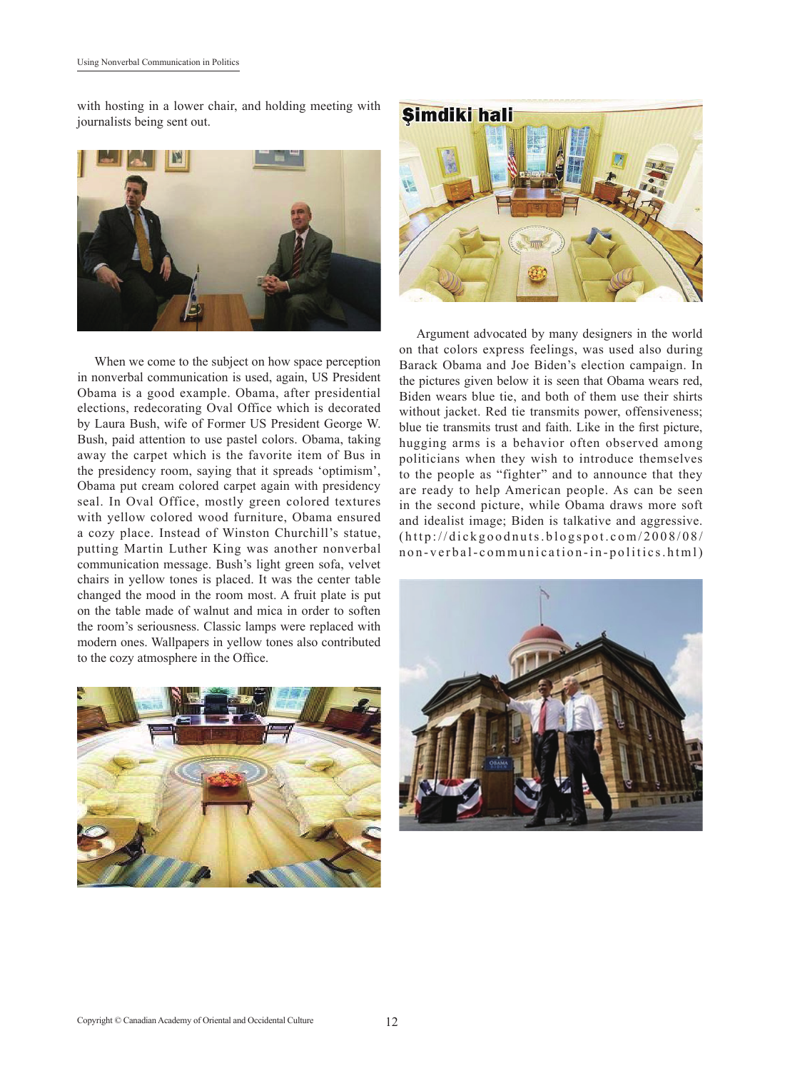with hosting in a lower chair, and holding meeting with journalists being sent out.



When we come to the subject on how space perception in nonverbal communication is used, again, US President Obama is a good example. Obama, after presidential elections, redecorating Oval Office which is decorated by Laura Bush, wife of Former US President George W. Bush, paid attention to use pastel colors. Obama, taking away the carpet which is the favorite item of Bus in the presidency room, saying that it spreads 'optimism', Obama put cream colored carpet again with presidency seal. In Oval Office, mostly green colored textures with yellow colored wood furniture, Obama ensured a cozy place. Instead of Winston Churchill's statue, putting Martin Luther King was another nonverbal communication message. Bush's light green sofa, velvet chairs in yellow tones is placed. It was the center table changed the mood in the room most. A fruit plate is put on the table made of walnut and mica in order to soften the room's seriousness. Classic lamps were replaced with modern ones. Wallpapers in yellow tones also contributed to the cozy atmosphere in the Office.





Argument advocated by many designers in the world on that colors express feelings, was used also during Barack Obama and Joe Biden's election campaign. In the pictures given below it is seen that Obama wears red, Biden wears blue tie, and both of them use their shirts without jacket. Red tie transmits power, offensiveness; blue tie transmits trust and faith. Like in the first picture, hugging arms is a behavior often observed among politicians when they wish to introduce themselves to the people as "fighter" and to announce that they are ready to help American people. As can be seen in the second picture, while Obama draws more soft and idealist image; Biden is talkative and aggressive. (http://dickgoodnuts.blogspot.com/2008/08/ non-verbal-communication-in-politics.html)

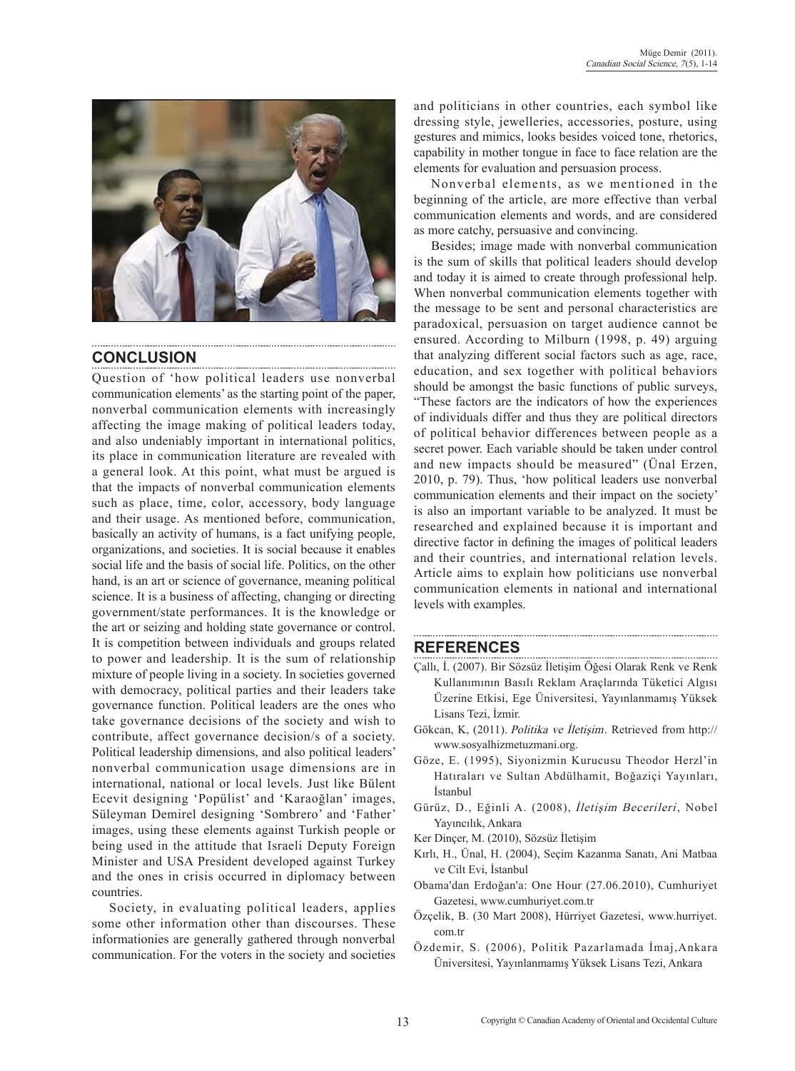

# **CONCLUSION**

Question of 'how political leaders use nonverbal communication elements' as the starting point of the paper, nonverbal communication elements with increasingly affecting the image making of political leaders today, and also undeniably important in international politics, its place in communication literature are revealed with a general look. At this point, what must be argued is that the impacts of nonverbal communication elements such as place, time, color, accessory, body language and their usage. As mentioned before, communication, basically an activity of humans, is a fact unifying people, organizations, and societies. It is social because it enables social life and the basis of social life. Politics, on the other hand, is an art or science of governance, meaning political science. It is a business of affecting, changing or directing government/state performances. It is the knowledge or the art or seizing and holding state governance or control. It is competition between individuals and groups related to power and leadership. It is the sum of relationship mixture of people living in a society. In societies governed with democracy, political parties and their leaders take governance function. Political leaders are the ones who take governance decisions of the society and wish to contribute, affect governance decision/s of a society. Political leadership dimensions, and also political leaders' nonverbal communication usage dimensions are in international, national or local levels. Just like Bülent Ecevit designing 'Popülist' and 'Karaoğlan' images, Süleyman Demirel designing 'Sombrero' and 'Father' images, using these elements against Turkish people or being used in the attitude that Israeli Deputy Foreign Minister and USA President developed against Turkey and the ones in crisis occurred in diplomacy between countries.

Society, in evaluating political leaders, applies some other information other than discourses. These informationies are generally gathered through nonverbal communication. For the voters in the society and societies and politicians in other countries, each symbol like dressing style, jewelleries, accessories, posture, using gestures and mimics, looks besides voiced tone, rhetorics, capability in mother tongue in face to face relation are the elements for evaluation and persuasion process.

Nonverbal elements, as we mentioned in the beginning of the article, are more effective than verbal communication elements and words, and are considered as more catchy, persuasive and convincing.

Besides; image made with nonverbal communication is the sum of skills that political leaders should develop and today it is aimed to create through professional help. When nonverbal communication elements together with the message to be sent and personal characteristics are paradoxical, persuasion on target audience cannot be ensured. According to Milburn (1998, p. 49) arguing that analyzing different social factors such as age, race, education, and sex together with political behaviors should be amongst the basic functions of public surveys, "These factors are the indicators of how the experiences of individuals differ and thus they are political directors of political behavior differences between people as a secret power. Each variable should be taken under control and new impacts should be measured" (Ünal Erzen, 2010, p. 79). Thus, 'how political leaders use nonverbal communication elements and their impact on the society' is also an important variable to be analyzed. It must be researched and explained because it is important and directive factor in defining the images of political leaders and their countries, and international relation levels. Article aims to explain how politicians use nonverbal communication elements in national and international levels with examples.

### **REFERENCES**

Çallı, İ. (2007). Bir Sözsüz İletişim Öğesi Olarak Renk ve Renk Kullanımının Basılı Reklam Araçlarında Tüketici Algısı Üzerine Etkisi, Ege Üniversitesi, Yayınlanmamış Yüksek Lisans Tezi, İzmir.

- Gökcan, K, (2011). Politika ve İletişim. Retrieved from http:// www.sosyalhizmetuzmani.org.
- Göze, E. (1995), Siyonizmin Kurucusu Theodor Herzl'in Hatıraları ve Sultan Abdülhamit, Boğaziçi Yayınları, İstanbul
- Gürüz, D., Eğinli A. (2008), İletişim Becerileri, Nobel Yayıncılık, Ankara
- Ker Dinçer, M. (2010), Sözsüz İletişim
- Kırlı, H., Ünal, H. (2004), Seçim Kazanma Sanatı, Ani Matbaa ve Cilt Evi, İstanbul
- Obama'dan Erdoğan'a: One Hour (27.06.2010), Cumhuriyet Gazetesi, www.cumhuriyet.com.tr
- Özçelik, B. (30 Mart 2008), Hürriyet Gazetesi, www.hurriyet. com.tr
- Özdemir, S. (2006), Politik Pazarlamada İmaj,Ankara Üniversitesi, Yayınlanmamış Yüksek Lisans Tezi, Ankara